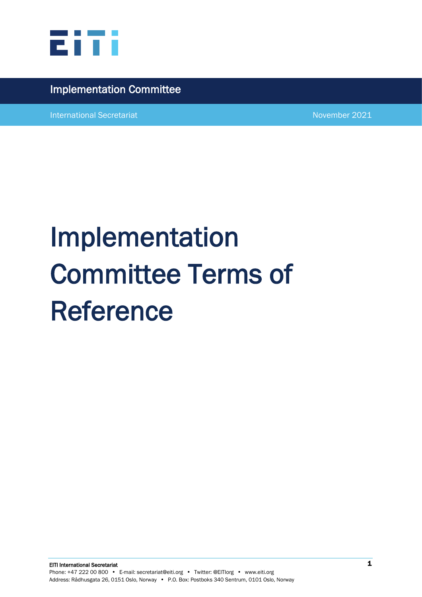

## Implementation Committee

International Secretariat November 2021

# Implementation Committee Terms of Reference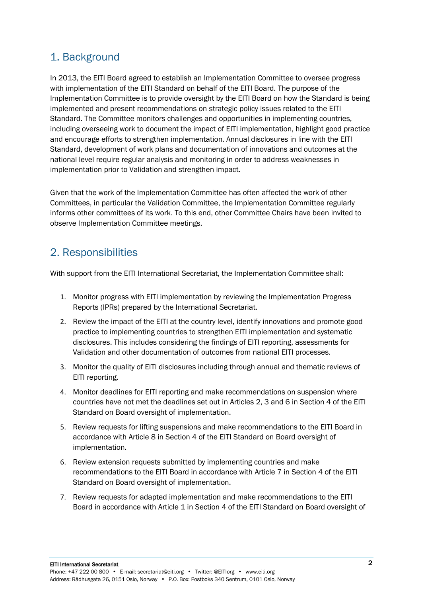## 1. Background

In 2013, the EITI Board agreed to establish an Implementation Committee to oversee progress with implementation of the EITI Standard on behalf of the EITI Board. The purpose of the Implementation Committee is to provide oversight by the EITI Board on how the Standard is being implemented and present recommendations on strategic policy issues related to the EITI Standard. The Committee monitors challenges and opportunities in implementing countries, including overseeing work to document the impact of EITI implementation, highlight good practice and encourage efforts to strengthen implementation. Annual disclosures in line with the EITI Standard, development of work plans and documentation of innovations and outcomes at the national level require regular analysis and monitoring in order to address weaknesses in implementation prior to Validation and strengthen impact.

Given that the work of the Implementation Committee has often affected the work of other Committees, in particular the Validation Committee, the Implementation Committee regularly informs other committees of its work. To this end, other Committee Chairs have been invited to observe Implementation Committee meetings.

## 2. Responsibilities

With support from the EITI International Secretariat, the Implementation Committee shall:

- 1. Monitor progress with EITI implementation by reviewing the Implementation Progress Reports (IPRs) prepared by the International Secretariat.
- 2. Review the impact of the EITI at the country level, identify innovations and promote good practice to implementing countries to strengthen EITI implementation and systematic disclosures. This includes considering the findings of EITI reporting, assessments for Validation and other documentation of outcomes from national EITI processes.
- 3. Monitor the quality of EITI disclosures including through annual and thematic reviews of EITI reporting.
- 4. Monitor deadlines for EITI reporting and make recommendations on suspension where countries have not met the deadlines set out in Articles 2, 3 and 6 in Section 4 of the EITI Standard on Board oversight of implementation.
- 5. Review requests for lifting suspensions and make recommendations to the EITI Board in accordance with Article 8 in Section 4 of the EITI Standard on Board oversight of implementation.
- 6. Review extension requests submitted by implementing countries and make recommendations to the EITI Board in accordance with Article 7 in Section 4 of the EITI Standard on Board oversight of implementation.
- 7. Review requests for adapted implementation and make recommendations to the EITI Board in accordance with Article 1 in Section 4 of the EITI Standard on Board oversight of